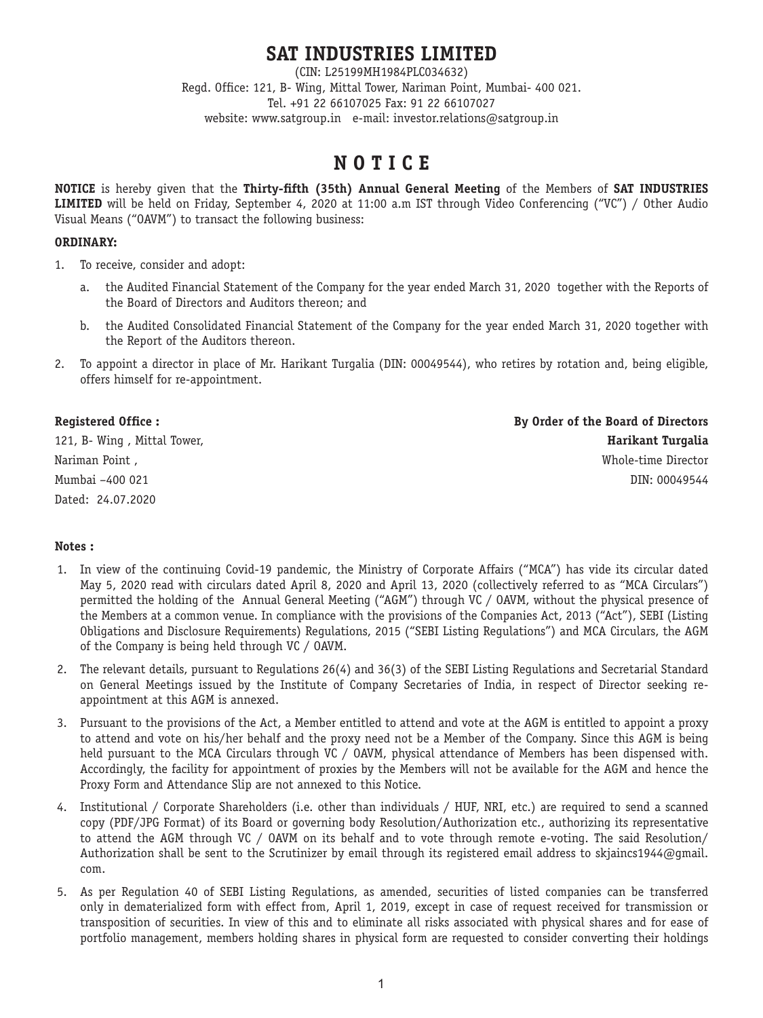# **SAT INDUSTRIES LIMITED**

(CIN: L25199MH1984PLC034632) Regd. Office: 121, B- Wing, Mittal Tower, Nariman Point, Mumbai- 400 021. Tel. +91 22 66107025 Fax: 91 22 66107027 website: www.satgroup.in e-mail: investor.relations@satgroup.in

# **N O T I C E**

**NOTICE** is hereby given that the **Thirty-fifth (35th) Annual General Meeting** of the Members of **SAT INDUSTRIES LIMITED** will be held on Friday, September 4, 2020 at 11:00 a.m IST through Video Conferencing ("VC") / Other Audio Visual Means ("OAVM") to transact the following business:

# **ORDINARY:**

- 1. To receive, consider and adopt:
	- a. the Audited Financial Statement of the Company for the year ended March 31, 2020 together with the Reports of the Board of Directors and Auditors thereon; and
	- b. the Audited Consolidated Financial Statement of the Company for the year ended March 31, 2020 together with the Report of the Auditors thereon.
- 2. To appoint a director in place of Mr. Harikant Turgalia (DIN: 00049544), who retires by rotation and, being eligible, offers himself for re-appointment.

Dated: 24.07.2020

**Registered Office : By Order of the Board of Directors** 121, B- Wing , Mittal Tower, **Harikant Turgalia** Nariman Point , Whole-time Director Mumbai –400 021 DIN: 00049544

# **Notes :**

- 1. In view of the continuing Covid-19 pandemic, the Ministry of Corporate Affairs ("MCA") has vide its circular dated May 5, 2020 read with circulars dated April 8, 2020 and April 13, 2020 (collectively referred to as "MCA Circulars") permitted the holding of the Annual General Meeting ("AGM") through VC / OAVM, without the physical presence of the Members at a common venue. In compliance with the provisions of the Companies Act, 2013 ("Act"), SEBI (Listing Obligations and Disclosure Requirements) Regulations, 2015 ("SEBI Listing Regulations") and MCA Circulars, the AGM of the Company is being held through VC / OAVM.
- 2. The relevant details, pursuant to Regulations 26(4) and 36(3) of the SEBI Listing Regulations and Secretarial Standard on General Meetings issued by the Institute of Company Secretaries of India, in respect of Director seeking reappointment at this AGM is annexed.
- 3. Pursuant to the provisions of the Act, a Member entitled to attend and vote at the AGM is entitled to appoint a proxy to attend and vote on his/her behalf and the proxy need not be a Member of the Company. Since this AGM is being held pursuant to the MCA Circulars through VC / OAVM, physical attendance of Members has been dispensed with. Accordingly, the facility for appointment of proxies by the Members will not be available for the AGM and hence the Proxy Form and Attendance Slip are not annexed to this Notice.
- 4. Institutional / Corporate Shareholders (i.e. other than individuals / HUF, NRI, etc.) are required to send a scanned copy (PDF/JPG Format) of its Board or governing body Resolution/Authorization etc., authorizing its representative to attend the AGM through VC / OAVM on its behalf and to vote through remote e-voting. The said Resolution/ Authorization shall be sent to the Scrutinizer by email through its registered email address to skjaincs1944@gmail. com.
- 5. As per Regulation 40 of SEBI Listing Regulations, as amended, securities of listed companies can be transferred only in dematerialized form with effect from, April 1, 2019, except in case of request received for transmission or transposition of securities. In view of this and to eliminate all risks associated with physical shares and for ease of portfolio management, members holding shares in physical form are requested to consider converting their holdings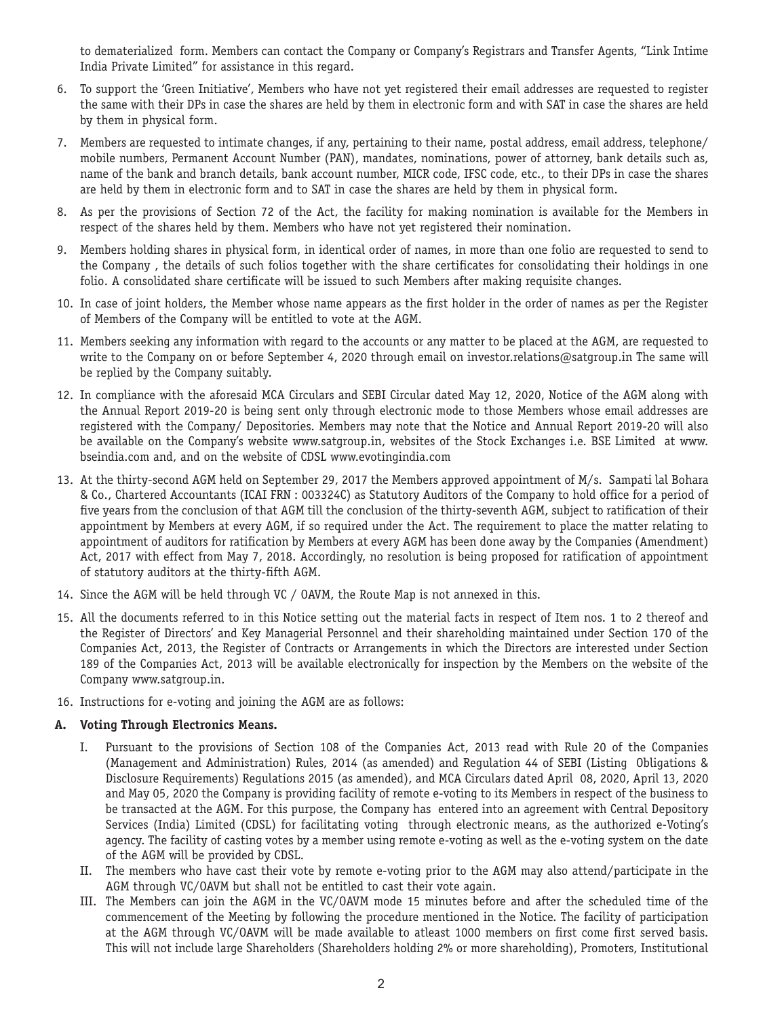to dematerialized form. Members can contact the Company or Company's Registrars and Transfer Agents, "Link Intime India Private Limited" for assistance in this regard.

- 6. To support the 'Green Initiative', Members who have not yet registered their email addresses are requested to register the same with their DPs in case the shares are held by them in electronic form and with SAT in case the shares are held by them in physical form.
- 7. Members are requested to intimate changes, if any, pertaining to their name, postal address, email address, telephone/ mobile numbers, Permanent Account Number (PAN), mandates, nominations, power of attorney, bank details such as, name of the bank and branch details, bank account number, MICR code, IFSC code, etc., to their DPs in case the shares are held by them in electronic form and to SAT in case the shares are held by them in physical form.
- 8. As per the provisions of Section 72 of the Act, the facility for making nomination is available for the Members in respect of the shares held by them. Members who have not yet registered their nomination.
- 9. Members holding shares in physical form, in identical order of names, in more than one folio are requested to send to the Company , the details of such folios together with the share certificates for consolidating their holdings in one folio. A consolidated share certificate will be issued to such Members after making requisite changes.
- 10. In case of joint holders, the Member whose name appears as the first holder in the order of names as per the Register of Members of the Company will be entitled to vote at the AGM.
- 11. Members seeking any information with regard to the accounts or any matter to be placed at the AGM, are requested to write to the Company on or before September 4, 2020 through email on investor.relations@satgroup.in The same will be replied by the Company suitably.
- 12. In compliance with the aforesaid MCA Circulars and SEBI Circular dated May 12, 2020, Notice of the AGM along with the Annual Report 2019-20 is being sent only through electronic mode to those Members whose email addresses are registered with the Company/ Depositories. Members may note that the Notice and Annual Report 2019-20 will also be available on the Company's website www.satgroup.in, websites of the Stock Exchanges i.e. BSE Limited at www. bseindia.com and, and on the website of CDSL www.evotingindia.com
- 13. At the thirty-second AGM held on September 29, 2017 the Members approved appointment of M/s. Sampati lal Bohara & Co., Chartered Accountants (ICAI FRN : 003324C) as Statutory Auditors of the Company to hold office for a period of five years from the conclusion of that AGM till the conclusion of the thirty-seventh AGM, subject to ratification of their appointment by Members at every AGM, if so required under the Act. The requirement to place the matter relating to appointment of auditors for ratification by Members at every AGM has been done away by the Companies (Amendment) Act, 2017 with effect from May 7, 2018. Accordingly, no resolution is being proposed for ratification of appointment of statutory auditors at the thirty-fifth AGM.
- 14. Since the AGM will be held through VC / OAVM, the Route Map is not annexed in this.
- 15. All the documents referred to in this Notice setting out the material facts in respect of Item nos. 1 to 2 thereof and the Register of Directors' and Key Managerial Personnel and their shareholding maintained under Section 170 of the Companies Act, 2013, the Register of Contracts or Arrangements in which the Directors are interested under Section 189 of the Companies Act, 2013 will be available electronically for inspection by the Members on the website of the Company www.satgroup.in.
- 16. Instructions for e-voting and joining the AGM are as follows:

# **A. Voting Through Electronics Means.**

- I. Pursuant to the provisions of Section 108 of the Companies Act, 2013 read with Rule 20 of the Companies (Management and Administration) Rules, 2014 (as amended) and Regulation 44 of SEBI (Listing Obligations & Disclosure Requirements) Regulations 2015 (as amended), and MCA Circulars dated April 08, 2020, April 13, 2020 and May 05, 2020 the Company is providing facility of remote e-voting to its Members in respect of the business to be transacted at the AGM. For this purpose, the Company has entered into an agreement with Central Depository Services (India) Limited (CDSL) for facilitating voting through electronic means, as the authorized e-Voting's agency. The facility of casting votes by a member using remote e-voting as well as the e-voting system on the date of the AGM will be provided by CDSL.
- II. The members who have cast their vote by remote e-voting prior to the AGM may also attend/participate in the AGM through VC/OAVM but shall not be entitled to cast their vote again.
- III. The Members can join the AGM in the VC/OAVM mode 15 minutes before and after the scheduled time of the commencement of the Meeting by following the procedure mentioned in the Notice. The facility of participation at the AGM through VC/OAVM will be made available to atleast 1000 members on first come first served basis. This will not include large Shareholders (Shareholders holding 2% or more shareholding), Promoters, Institutional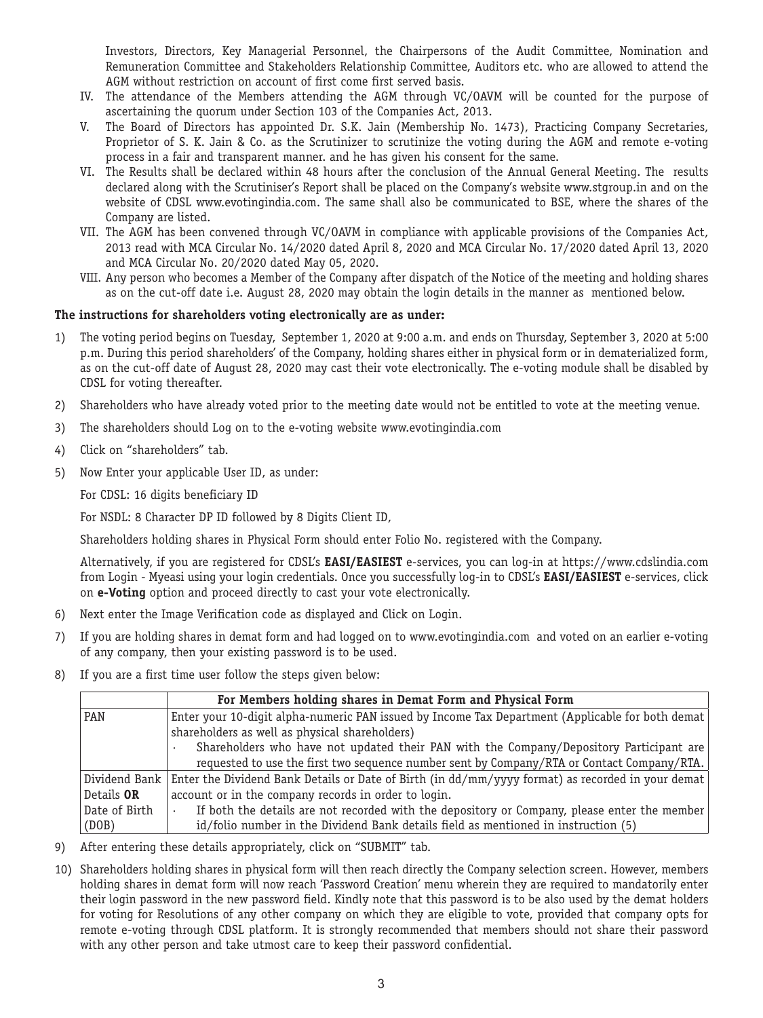Investors, Directors, Key Managerial Personnel, the Chairpersons of the Audit Committee, Nomination and Remuneration Committee and Stakeholders Relationship Committee, Auditors etc. who are allowed to attend the AGM without restriction on account of first come first served basis.

- IV. The attendance of the Members attending the AGM through VC/OAVM will be counted for the purpose of ascertaining the quorum under Section 103 of the Companies Act, 2013.
- V. The Board of Directors has appointed Dr. S.K. Jain (Membership No. 1473), Practicing Company Secretaries, Proprietor of S. K. Jain & Co. as the Scrutinizer to scrutinize the voting during the AGM and remote e-voting process in a fair and transparent manner. and he has given his consent for the same.
- VI. The Results shall be declared within 48 hours after the conclusion of the Annual General Meeting. The results declared along with the Scrutiniser's Report shall be placed on the Company's website www.stgroup.in and on the website of CDSL www.evotingindia.com. The same shall also be communicated to BSE, where the shares of the Company are listed.
- VII. The AGM has been convened through VC/OAVM in compliance with applicable provisions of the Companies Act, 2013 read with MCA Circular No. 14/2020 dated April 8, 2020 and MCA Circular No. 17/2020 dated April 13, 2020 and MCA Circular No. 20/2020 dated May 05, 2020.
- VIII. Any person who becomes a Member of the Company after dispatch of the Notice of the meeting and holding shares as on the cut-off date i.e. August 28, 2020 may obtain the login details in the manner as mentioned below.

# **The instructions for shareholders voting electronically are as under:**

- 1) The voting period begins on Tuesday, September 1, 2020 at 9:00 a.m. and ends on Thursday, September 3, 2020 at 5:00 p.m. During this period shareholders' of the Company, holding shares either in physical form or in dematerialized form, as on the cut-off date of August 28, 2020 may cast their vote electronically. The e-voting module shall be disabled by CDSL for voting thereafter.
- 2) Shareholders who have already voted prior to the meeting date would not be entitled to vote at the meeting venue.
- 3) The shareholders should Log on to the e-voting website www.evotingindia.com
- 4) Click on "shareholders" tab.
- 5) Now Enter your applicable User ID, as under:

For CDSL: 16 digits beneficiary ID

For NSDL: 8 Character DP ID followed by 8 Digits Client ID,

Shareholders holding shares in Physical Form should enter Folio No. registered with the Company.

Alternatively, if you are registered for CDSL's **EASI/EASIEST** e-services, you can log-in at https://www.cdslindia.com from Login - Myeasi using your login credentials. Once you successfully log-in to CDSL's **EASI/EASIEST** e-services, click on **e-Voting** option and proceed directly to cast your vote electronically.

- 6) Next enter the Image Verification code as displayed and Click on Login.
- 7) If you are holding shares in demat form and had logged on to www.evotingindia.com and voted on an earlier e-voting of any company, then your existing password is to be used.
- 8) If you are a first time user follow the steps given below:

|                   | For Members holding shares in Demat Form and Physical Form                                                        |  |  |
|-------------------|-------------------------------------------------------------------------------------------------------------------|--|--|
| PAN               | Enter your 10-digit alpha-numeric PAN issued by Income Tax Department (Applicable for both demat)                 |  |  |
|                   | shareholders as well as physical shareholders)                                                                    |  |  |
|                   | Shareholders who have not updated their PAN with the Company/Depository Participant are                           |  |  |
|                   | requested to use the first two sequence number sent by Company/RTA or Contact Company/RTA.                        |  |  |
|                   | Dividend Bank Enter the Dividend Bank Details or Date of Birth (in $dd/mm/yyyy$ format) as recorded in your demat |  |  |
| Details <b>OR</b> | account or in the company records in order to login.                                                              |  |  |
| Date of Birth     | If both the details are not recorded with the depository or Company, please enter the member                      |  |  |
| (DOB)             | id/folio number in the Dividend Bank details field as mentioned in instruction (5)                                |  |  |

- 9) After entering these details appropriately, click on "SUBMIT" tab.
- 10) Shareholders holding shares in physical form will then reach directly the Company selection screen. However, members holding shares in demat form will now reach 'Password Creation' menu wherein they are required to mandatorily enter their login password in the new password field. Kindly note that this password is to be also used by the demat holders for voting for Resolutions of any other company on which they are eligible to vote, provided that company opts for remote e-voting through CDSL platform. It is strongly recommended that members should not share their password with any other person and take utmost care to keep their password confidential.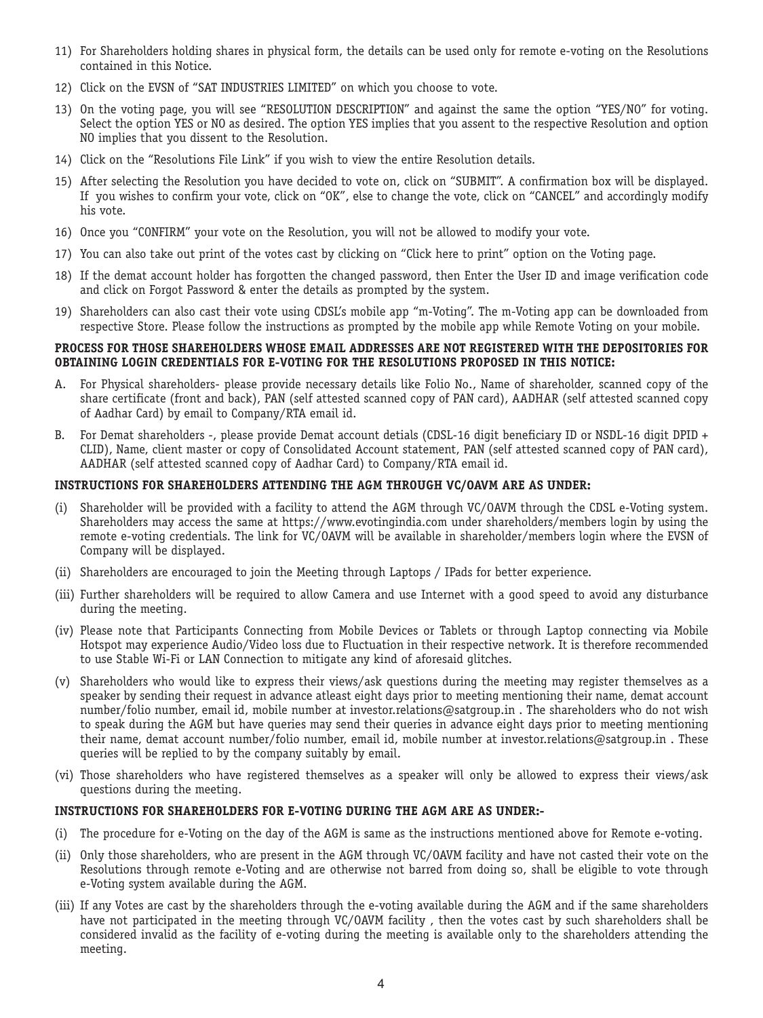- 11) For Shareholders holding shares in physical form, the details can be used only for remote e-voting on the Resolutions contained in this Notice.
- 12) Click on the EVSN of "SAT INDUSTRIES LIMITED" on which you choose to vote.
- 13) On the voting page, you will see "RESOLUTION DESCRIPTION" and against the same the option "YES/NO" for voting. Select the option YES or NO as desired. The option YES implies that you assent to the respective Resolution and option NO implies that you dissent to the Resolution.
- 14) Click on the "Resolutions File Link" if you wish to view the entire Resolution details.
- 15) After selecting the Resolution you have decided to vote on, click on "SUBMIT". A confirmation box will be displayed. If you wishes to confirm your vote, click on "OK", else to change the vote, click on "CANCEL" and accordingly modify his vote.
- 16) Once you "CONFIRM" your vote on the Resolution, you will not be allowed to modify your vote.
- 17) You can also take out print of the votes cast by clicking on "Click here to print" option on the Voting page.
- 18) If the demat account holder has forgotten the changed password, then Enter the User ID and image verification code and click on Forgot Password & enter the details as prompted by the system.
- 19) Shareholders can also cast their vote using CDSL's mobile app "m-Voting". The m-Voting app can be downloaded from respective Store. Please follow the instructions as prompted by the mobile app while Remote Voting on your mobile.

#### **PROCESS FOR THOSE SHAREHOLDERS WHOSE EMAIL ADDRESSES ARE NOT REGISTERED WITH THE DEPOSITORIES FOR OBTAINING LOGIN CREDENTIALS FOR E-VOTING FOR THE RESOLUTIONS PROPOSED IN THIS NOTICE:**

- A. For Physical shareholders- please provide necessary details like Folio No., Name of shareholder, scanned copy of the share certificate (front and back), PAN (self attested scanned copy of PAN card), AADHAR (self attested scanned copy of Aadhar Card) by email to Company/RTA email id.
- B. For Demat shareholders -, please provide Demat account detials (CDSL-16 digit beneficiary ID or NSDL-16 digit DPID + CLID), Name, client master or copy of Consolidated Account statement, PAN (self attested scanned copy of PAN card), AADHAR (self attested scanned copy of Aadhar Card) to Company/RTA email id.

### **INSTRUCTIONS FOR SHAREHOLDERS ATTENDING THE AGM THROUGH VC/OAVM ARE AS UNDER:**

- Shareholder will be provided with a facility to attend the AGM through VC/OAVM through the CDSL e-Voting system. Shareholders may access the same at https://www.evotingindia.com under shareholders/members login by using the remote e-voting credentials. The link for VC/OAVM will be available in shareholder/members login where the EVSN of Company will be displayed.
- (ii) Shareholders are encouraged to join the Meeting through Laptops / IPads for better experience.
- (iii) Further shareholders will be required to allow Camera and use Internet with a good speed to avoid any disturbance during the meeting.
- (iv) Please note that Participants Connecting from Mobile Devices or Tablets or through Laptop connecting via Mobile Hotspot may experience Audio/Video loss due to Fluctuation in their respective network. It is therefore recommended to use Stable Wi-Fi or LAN Connection to mitigate any kind of aforesaid glitches.
- (v) Shareholders who would like to express their views/ask questions during the meeting may register themselves as a speaker by sending their request in advance atleast eight days prior to meeting mentioning their name, demat account number/folio number, email id, mobile number at investor.relations@satgroup.in . The shareholders who do not wish to speak during the AGM but have queries may send their queries in advance eight days prior to meeting mentioning their name, demat account number/folio number, email id, mobile number at investor.relations@satgroup.in . These queries will be replied to by the company suitably by email.
- (vi) Those shareholders who have registered themselves as a speaker will only be allowed to express their views/ask questions during the meeting.

#### **INSTRUCTIONS FOR SHAREHOLDERS FOR E-VOTING DURING THE AGM ARE AS UNDER:-**

- (i) The procedure for e-Voting on the day of the AGM is same as the instructions mentioned above for Remote e-voting.
- (ii) Only those shareholders, who are present in the AGM through VC/OAVM facility and have not casted their vote on the Resolutions through remote e-Voting and are otherwise not barred from doing so, shall be eligible to vote through e-Voting system available during the AGM.
- (iii) If any Votes are cast by the shareholders through the e-voting available during the AGM and if the same shareholders have not participated in the meeting through VC/OAVM facility , then the votes cast by such shareholders shall be considered invalid as the facility of e-voting during the meeting is available only to the shareholders attending the meeting.